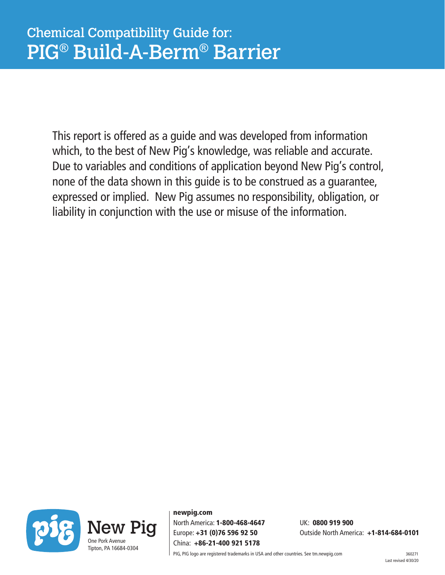This report is offered as a guide and was developed from information which, to the best of New Pig's knowledge, was reliable and accurate. Due to variables and conditions of application beyond New Pig's control, none of the data shown in this guide is to be construed as a guarantee, expressed or implied. New Pig assumes no responsibility, obligation, or liability in conjunction with the use or misuse of the information.



newpig.com North America: 1-800-468-4647 UK: 0800 919 900 China: +86-21-400 921 5178

Europe: +31 (0)76 596 92 50 Outside North America: +1-814-684-0101

PIG, PIG logo are registered trademarks in USA and other countries. See tm.newpig.com